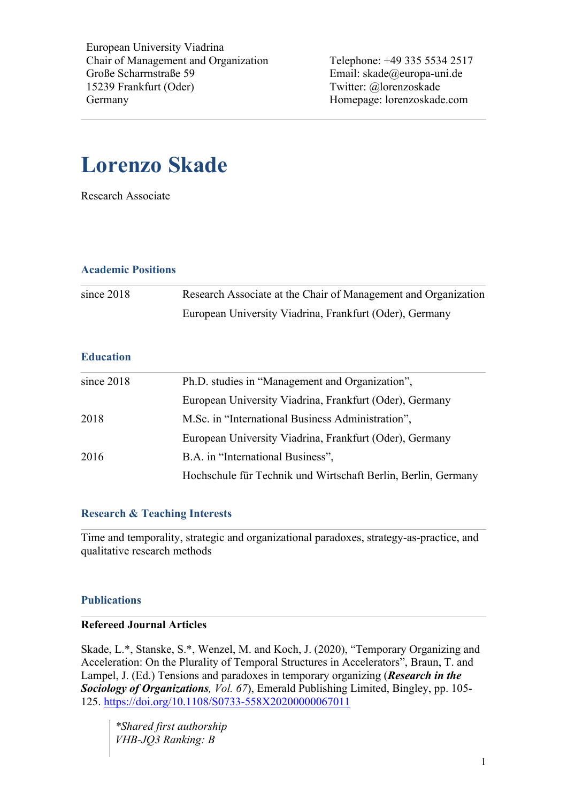European University Viadrina Chair of Management and Organization Große Scharrnstraße 59 15239 Frankfurt (Oder) Germany

Telephone: +49 335 5534 2517 Email: skade@europa-uni.de Twitter: @lorenzoskade Homepage: lorenzoskade.com

# **Lorenzo Skade**

Research Associate

## **Academic Positions**

| since $2018$ | Research Associate at the Chair of Management and Organization |
|--------------|----------------------------------------------------------------|
|              | European University Viadrina, Frankfurt (Oder), Germany        |

## **Education**

| since $2018$ | Ph.D. studies in "Management and Organization",               |
|--------------|---------------------------------------------------------------|
|              | European University Viadrina, Frankfurt (Oder), Germany       |
| 2018         | M.Sc. in "International Business Administration",             |
|              | European University Viadrina, Frankfurt (Oder), Germany       |
| 2016         | B.A. in "International Business",                             |
|              | Hochschule für Technik und Wirtschaft Berlin, Berlin, Germany |

## **Research & Teaching Interests**

Time and temporality, strategic and organizational paradoxes, strategy-as-practice, and qualitative research methods

## **Publications**

## **Refereed Journal Articles**

Skade, L.\*, Stanske, S.\*, Wenzel, M. and Koch, J. (2020), "Temporary Organizing and Acceleration: On the Plurality of Temporal Structures in Accelerators", Braun, T. and Lampel, J. (Ed.) Tensions and paradoxes in temporary organizing (*Research in the Sociology of Organizations, Vol. 67*), Emerald Publishing Limited, Bingley, pp. 105- 125. https://doi.org/10.1108/S0733-558X20200000067011

*\*Shared first authorship VHB-JQ3 Ranking: B*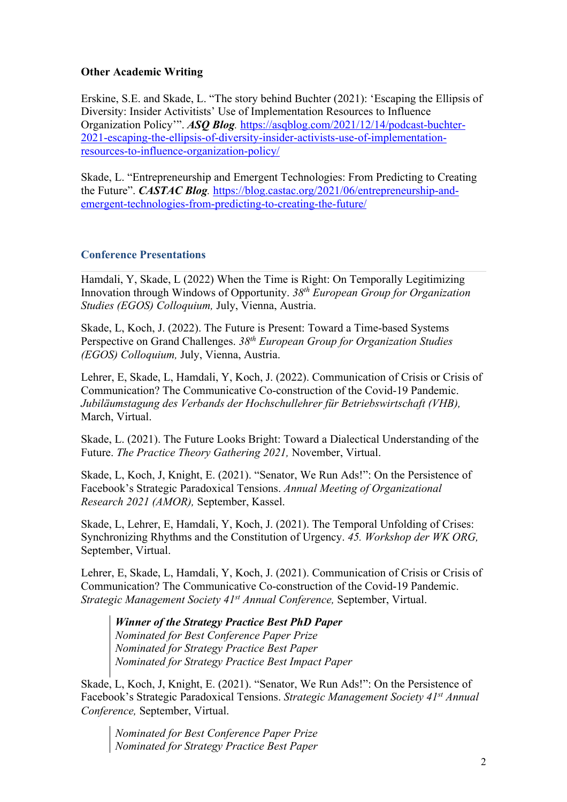## **Other Academic Writing**

Erskine, S.E. and Skade, L. "The story behind Buchter (2021): 'Escaping the Ellipsis of Diversity: Insider Activitists' Use of Implementation Resources to Influence Organization Policy'". *ASQ Blog.* https://asqblog.com/2021/12/14/podcast-buchter-2021-escaping-the-ellipsis-of-diversity-insider-activists-use-of-implementationresources-to-influence-organization-policy/

Skade, L. "Entrepreneurship and Emergent Technologies: From Predicting to Creating the Future". *CASTAC Blog.* https://blog.castac.org/2021/06/entrepreneurship-andemergent-technologies-from-predicting-to-creating-the-future/

## **Conference Presentations**

Hamdali, Y, Skade, L (2022) When the Time is Right: On Temporally Legitimizing Innovation through Windows of Opportunity. *38th European Group for Organization Studies (EGOS) Colloquium,* July, Vienna, Austria.

Skade, L, Koch, J. (2022). The Future is Present: Toward a Time-based Systems Perspective on Grand Challenges. *38th European Group for Organization Studies (EGOS) Colloquium,* July, Vienna, Austria.

Lehrer, E, Skade, L, Hamdali, Y, Koch, J. (2022). Communication of Crisis or Crisis of Communication? The Communicative Co-construction of the Covid-19 Pandemic. *Jubiläumstagung des Verbands der Hochschullehrer für Betriebswirtschaft (VHB),*  March, Virtual.

Skade, L. (2021). The Future Looks Bright: Toward a Dialectical Understanding of the Future. *The Practice Theory Gathering 2021,* November, Virtual.

Skade, L, Koch, J, Knight, E. (2021). "Senator, We Run Ads!": On the Persistence of Facebook's Strategic Paradoxical Tensions. *Annual Meeting of Organizational Research 2021 (AMOR),* September, Kassel.

Skade, L, Lehrer, E, Hamdali, Y, Koch, J. (2021). The Temporal Unfolding of Crises: Synchronizing Rhythms and the Constitution of Urgency. *45. Workshop der WK ORG,*  September, Virtual.

Lehrer, E, Skade, L, Hamdali, Y, Koch, J. (2021). Communication of Crisis or Crisis of Communication? The Communicative Co-construction of the Covid-19 Pandemic. *Strategic Management Society 41st Annual Conference,* September, Virtual.

*Winner of the Strategy Practice Best PhD Paper Nominated for Best Conference Paper Prize Nominated for Strategy Practice Best Paper Nominated for Strategy Practice Best Impact Paper*

Skade, L, Koch, J, Knight, E. (2021). "Senator, We Run Ads!": On the Persistence of Facebook's Strategic Paradoxical Tensions. *Strategic Management Society 41st Annual Conference,* September, Virtual.

*Nominated for Best Conference Paper Prize Nominated for Strategy Practice Best Paper*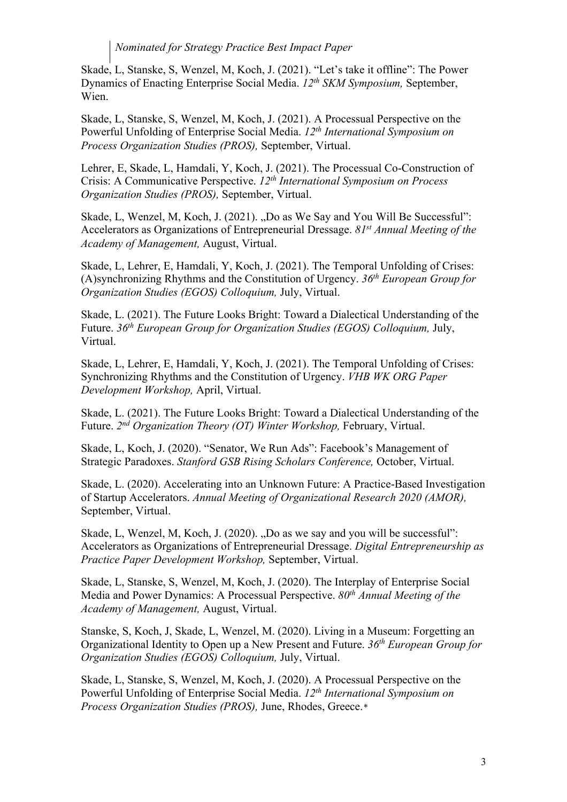## *Nominated for Strategy Practice Best Impact Paper*

Skade, L, Stanske, S, Wenzel, M, Koch, J. (2021). "Let's take it offline": The Power Dynamics of Enacting Enterprise Social Media. *12th SKM Symposium,* September, Wien.

Skade, L, Stanske, S, Wenzel, M, Koch, J. (2021). A Processual Perspective on the Powerful Unfolding of Enterprise Social Media. *12th International Symposium on Process Organization Studies (PROS),* September, Virtual.

Lehrer, E, Skade, L, Hamdali, Y, Koch, J. (2021). The Processual Co-Construction of Crisis: A Communicative Perspective. *12th International Symposium on Process Organization Studies (PROS),* September, Virtual.

Skade, L, Wenzel, M, Koch, J. (2021). "Do as We Say and You Will Be Successful": Accelerators as Organizations of Entrepreneurial Dressage. *81st Annual Meeting of the Academy of Management,* August, Virtual.

Skade, L, Lehrer, E, Hamdali, Y, Koch, J. (2021). The Temporal Unfolding of Crises: (A)synchronizing Rhythms and the Constitution of Urgency. *36th European Group for Organization Studies (EGOS) Colloquium,* July, Virtual.

Skade, L. (2021). The Future Looks Bright: Toward a Dialectical Understanding of the Future. *36th European Group for Organization Studies (EGOS) Colloquium,* July, Virtual.

Skade, L, Lehrer, E, Hamdali, Y, Koch, J. (2021). The Temporal Unfolding of Crises: Synchronizing Rhythms and the Constitution of Urgency. *VHB WK ORG Paper Development Workshop,* April, Virtual.

Skade, L. (2021). The Future Looks Bright: Toward a Dialectical Understanding of the Future. *2nd Organization Theory (OT) Winter Workshop,* February, Virtual.

Skade, L, Koch, J. (2020). "Senator, We Run Ads": Facebook's Management of Strategic Paradoxes. *Stanford GSB Rising Scholars Conference,* October, Virtual.

Skade, L. (2020). Accelerating into an Unknown Future: A Practice-Based Investigation of Startup Accelerators. *Annual Meeting of Organizational Research 2020 (AMOR),*  September, Virtual.

Skade, L, Wenzel, M, Koch, J. (2020). "Do as we say and you will be successful": Accelerators as Organizations of Entrepreneurial Dressage. *Digital Entrepreneurship as Practice Paper Development Workshop,* September, Virtual.

Skade, L, Stanske, S, Wenzel, M, Koch, J. (2020). The Interplay of Enterprise Social Media and Power Dynamics: A Processual Perspective. *80th Annual Meeting of the Academy of Management,* August, Virtual.

Stanske, S, Koch, J, Skade, L, Wenzel, M. (2020). Living in a Museum: Forgetting an Organizational Identity to Open up a New Present and Future. *36th European Group for Organization Studies (EGOS) Colloquium,* July, Virtual.

Skade, L, Stanske, S, Wenzel, M, Koch, J. (2020). A Processual Perspective on the Powerful Unfolding of Enterprise Social Media. *12th International Symposium on Process Organization Studies (PROS),* June, Rhodes, Greece.*\**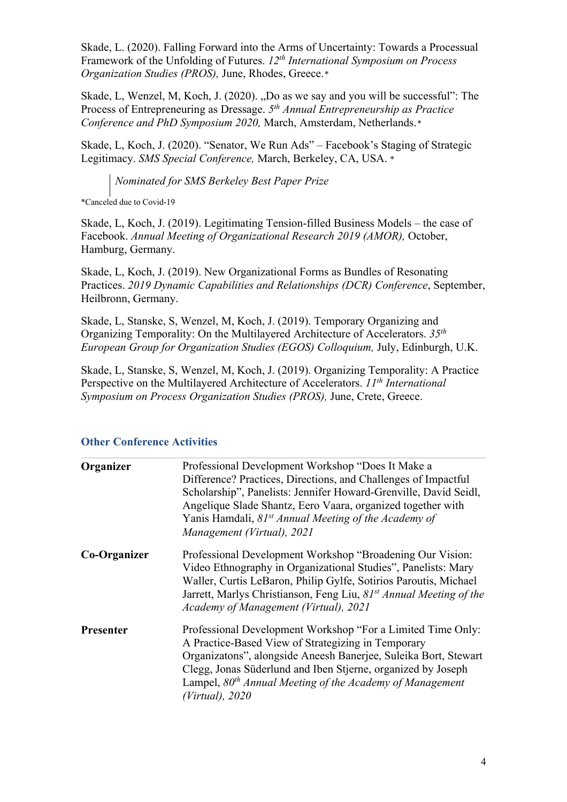Skade, L. (2020). Falling Forward into the Arms of Uncertainty: Towards a Processual Framework of the Unfolding of Futures. *12th International Symposium on Process Organization Studies (PROS),* June, Rhodes, Greece.*\**

Skade, L, Wenzel, M, Koch, J. (2020). "Do as we say and you will be successful": The Process of Entrepreneuring as Dressage. *5th Annual Entrepreneurship as Practice Conference and PhD Symposium 2020,* March, Amsterdam, Netherlands.*\**

Skade, L, Koch, J. (2020). "Senator, We Run Ads" – Facebook's Staging of Strategic Legitimacy. *SMS Special Conference,* March, Berkeley, CA, USA. *\**

*Nominated for SMS Berkeley Best Paper Prize*

\*Canceled due to Covid-19

Skade, L, Koch, J. (2019). Legitimating Tension-filled Business Models – the case of Facebook. *Annual Meeting of Organizational Research 2019 (AMOR),* October, Hamburg, Germany.

Skade, L, Koch, J. (2019). New Organizational Forms as Bundles of Resonating Practices. *2019 Dynamic Capabilities and Relationships (DCR) Conference*, September, Heilbronn, Germany.

Skade, L, Stanske, S, Wenzel, M, Koch, J. (2019). Temporary Organizing and Organizing Temporality: On the Multilayered Architecture of Accelerators. *35th European Group for Organization Studies (EGOS) Colloquium,* July, Edinburgh, U.K.

Skade, L, Stanske, S, Wenzel, M, Koch, J. (2019). Organizing Temporality: A Practice Perspective on the Multilayered Architecture of Accelerators. *11th International Symposium on Process Organization Studies (PROS),* June, Crete, Greece.

| Organizer        | Professional Development Workshop "Does It Make a<br>Difference? Practices, Directions, and Challenges of Impactful<br>Scholarship", Panelists: Jennifer Howard-Grenville, David Seidl,<br>Angelique Slade Shantz, Eero Vaara, organized together with<br>Yanis Hamdali, 81 <sup>st</sup> Annual Meeting of the Academy of<br>Management (Virtual), 2021 |
|------------------|----------------------------------------------------------------------------------------------------------------------------------------------------------------------------------------------------------------------------------------------------------------------------------------------------------------------------------------------------------|
| Co-Organizer     | Professional Development Workshop "Broadening Our Vision:<br>Video Ethnography in Organizational Studies", Panelists: Mary<br>Waller, Curtis LeBaron, Philip Gylfe, Sotirios Paroutis, Michael<br>Jarrett, Marlys Christianson, Feng Liu, 81 <sup>st</sup> Annual Meeting of the<br>Academy of Management (Virtual), 2021                                |
| <b>Presenter</b> | Professional Development Workshop "For a Limited Time Only:<br>A Practice-Based View of Strategizing in Temporary<br>Organizatons", alongside Aneesh Banerjee, Suleika Bort, Stewart<br>Clegg, Jonas Süderlund and Iben Stjerne, organized by Joseph<br>Lampel, $80th$ Annual Meeting of the Academy of Management<br>(Virtual), 2020                    |

## **Other Conference Activities**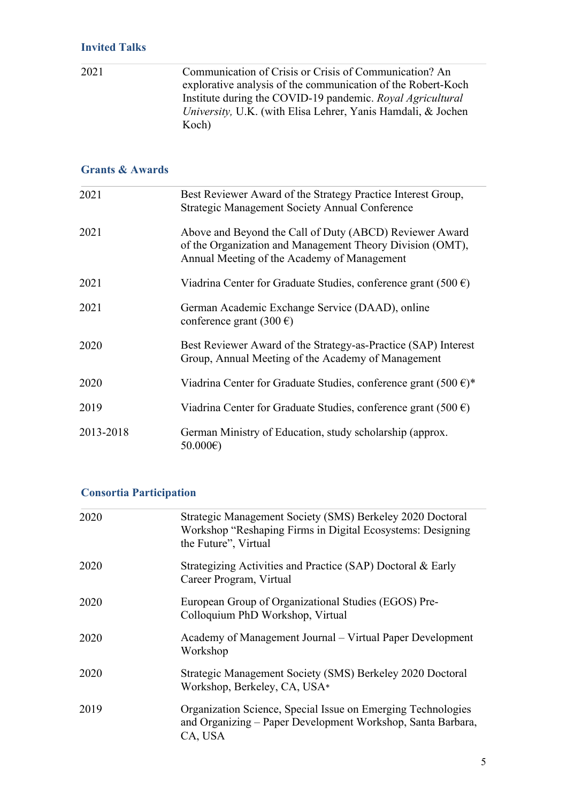2021 Communication of Crisis or Crisis of Communication? An explorative analysis of the communication of the Robert-Koch Institute during the COVID-19 pandemic. *Royal Agricultural University,* U.K. (with Elisa Lehrer, Yanis Hamdali, & Jochen Koch)

## **Grants & Awards**

| 2021      | Best Reviewer Award of the Strategy Practice Interest Group,<br>Strategic Management Society Annual Conference                                                      |
|-----------|---------------------------------------------------------------------------------------------------------------------------------------------------------------------|
| 2021      | Above and Beyond the Call of Duty (ABCD) Reviewer Award<br>of the Organization and Management Theory Division (OMT),<br>Annual Meeting of the Academy of Management |
| 2021      | Viadrina Center for Graduate Studies, conference grant (500 $\epsilon$ )                                                                                            |
| 2021      | German Academic Exchange Service (DAAD), online<br>conference grant $(300 \text{ } \in)$                                                                            |
| 2020      | Best Reviewer Award of the Strategy-as-Practice (SAP) Interest<br>Group, Annual Meeting of the Academy of Management                                                |
| 2020      | Viadrina Center for Graduate Studies, conference grant (500 $\epsilon$ )*                                                                                           |
| 2019      | Viadrina Center for Graduate Studies, conference grant (500 $\epsilon$ )                                                                                            |
| 2013-2018 | German Ministry of Education, study scholarship (approx.<br>50.000€)                                                                                                |

## **Consortia Participation**

| 2020 | Strategic Management Society (SMS) Berkeley 2020 Doctoral<br>Workshop "Reshaping Firms in Digital Ecosystems: Designing<br>the Future", Virtual |
|------|-------------------------------------------------------------------------------------------------------------------------------------------------|
| 2020 | Strategizing Activities and Practice (SAP) Doctoral & Early<br>Career Program, Virtual                                                          |
| 2020 | European Group of Organizational Studies (EGOS) Pre-<br>Colloquium PhD Workshop, Virtual                                                        |
| 2020 | Academy of Management Journal – Virtual Paper Development<br>Workshop                                                                           |
| 2020 | Strategic Management Society (SMS) Berkeley 2020 Doctoral<br>Workshop, Berkeley, CA, USA*                                                       |
| 2019 | Organization Science, Special Issue on Emerging Technologies<br>and Organizing – Paper Development Workshop, Santa Barbara,<br>CA, USA          |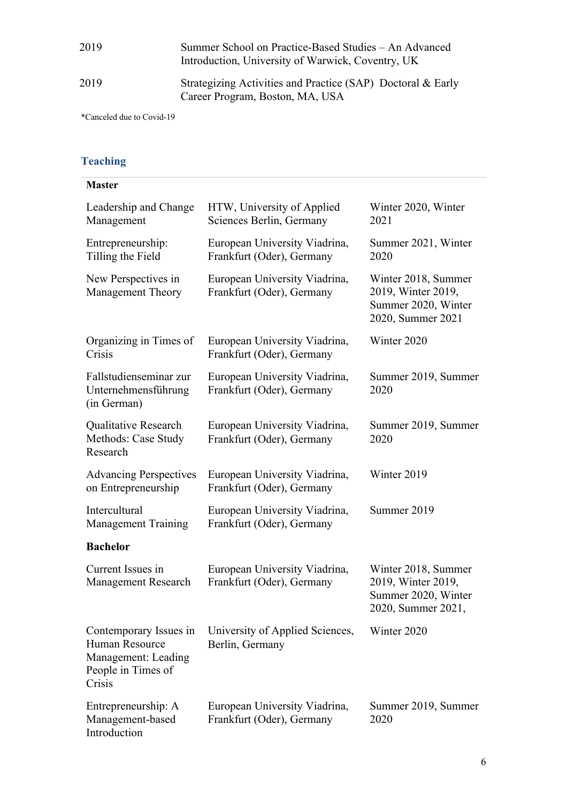| 2019 | Summer School on Practice-Based Studies – An Advanced |
|------|-------------------------------------------------------|
|      | Introduction, University of Warwick, Coventry, UK     |

## 2019 Strategizing Activities and Practice (SAP) Doctoral & Early Career Program, Boston, MA, USA

\*Canceled due to Covid-19

## **Teaching**

| <b>Master</b>                                                                                   |                                                            |                                                                                        |
|-------------------------------------------------------------------------------------------------|------------------------------------------------------------|----------------------------------------------------------------------------------------|
| Leadership and Change<br>Management                                                             | HTW, University of Applied<br>Sciences Berlin, Germany     | Winter 2020, Winter<br>2021                                                            |
| Entrepreneurship:<br>Tilling the Field                                                          | European University Viadrina,<br>Frankfurt (Oder), Germany | Summer 2021, Winter<br>2020                                                            |
| New Perspectives in<br><b>Management Theory</b>                                                 | European University Viadrina,<br>Frankfurt (Oder), Germany | Winter 2018, Summer<br>2019, Winter 2019,<br>Summer 2020, Winter<br>2020, Summer 2021  |
| Organizing in Times of<br>Crisis                                                                | European University Viadrina,<br>Frankfurt (Oder), Germany | Winter 2020                                                                            |
| Fallstudienseminar zur<br>Unternehmensführung<br>(in German)                                    | European University Viadrina,<br>Frankfurt (Oder), Germany | Summer 2019, Summer<br>2020                                                            |
| Qualitative Research<br>Methods: Case Study<br>Research                                         | European University Viadrina,<br>Frankfurt (Oder), Germany | Summer 2019, Summer<br>2020                                                            |
| <b>Advancing Perspectives</b><br>on Entrepreneurship                                            | European University Viadrina,<br>Frankfurt (Oder), Germany | Winter 2019                                                                            |
| Intercultural<br><b>Management Training</b>                                                     | European University Viadrina,<br>Frankfurt (Oder), Germany | Summer 2019                                                                            |
| <b>Bachelor</b>                                                                                 |                                                            |                                                                                        |
| Current Issues in<br><b>Management Research</b>                                                 | European University Viadrina,<br>Frankfurt (Oder), Germany | Winter 2018, Summer<br>2019, Winter 2019,<br>Summer 2020, Winter<br>2020, Summer 2021, |
| Contemporary Issues in<br>Human Resource<br>Management: Leading<br>People in Times of<br>Crisis | University of Applied Sciences,<br>Berlin, Germany         | Winter 2020                                                                            |
| Entrepreneurship: A<br>Management-based<br>Introduction                                         | European University Viadrina,<br>Frankfurt (Oder), Germany | Summer 2019, Summer<br>2020                                                            |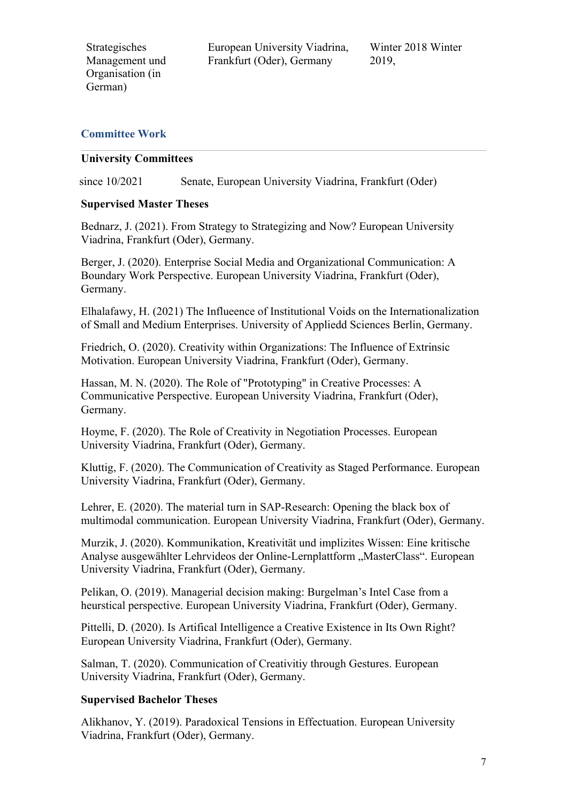Strategisches Management und Organisation (in German)

European University Viadrina, Frankfurt (Oder), Germany

Winter 2018 Winter 2019,

## **Committee Work**

#### **University Committees**

since 10/2021 Senate, European University Viadrina, Frankfurt (Oder)

## **Supervised Master Theses**

Bednarz, J. (2021). From Strategy to Strategizing and Now? European University Viadrina, Frankfurt (Oder), Germany.

Berger, J. (2020). Enterprise Social Media and Organizational Communication: A Boundary Work Perspective. European University Viadrina, Frankfurt (Oder), Germany.

Elhalafawy, H. (2021) The Influeence of Institutional Voids on the Internationalization of Small and Medium Enterprises. University of Appliedd Sciences Berlin, Germany.

Friedrich, O. (2020). Creativity within Organizations: The Influence of Extrinsic Motivation. European University Viadrina, Frankfurt (Oder), Germany.

Hassan, M. N. (2020). The Role of "Prototyping" in Creative Processes: A Communicative Perspective. European University Viadrina, Frankfurt (Oder), Germany.

Hoyme, F. (2020). The Role of Creativity in Negotiation Processes. European University Viadrina, Frankfurt (Oder), Germany.

Kluttig, F. (2020). The Communication of Creativity as Staged Performance. European University Viadrina, Frankfurt (Oder), Germany.

Lehrer, E. (2020). The material turn in SAP-Research: Opening the black box of multimodal communication. European University Viadrina, Frankfurt (Oder), Germany.

Murzik, J. (2020). Kommunikation, Kreativität und implizites Wissen: Eine kritische Analyse ausgewählter Lehrvideos der Online-Lernplattform "MasterClass". European University Viadrina, Frankfurt (Oder), Germany.

Pelikan, O. (2019). Managerial decision making: Burgelman's Intel Case from a heurstical perspective. European University Viadrina, Frankfurt (Oder), Germany.

Pittelli, D. (2020). Is Artifical Intelligence a Creative Existence in Its Own Right? European University Viadrina, Frankfurt (Oder), Germany.

Salman, T. (2020). Communication of Creativitiy through Gestures. European University Viadrina, Frankfurt (Oder), Germany.

#### **Supervised Bachelor Theses**

Alikhanov, Y. (2019). Paradoxical Tensions in Effectuation. European University Viadrina, Frankfurt (Oder), Germany.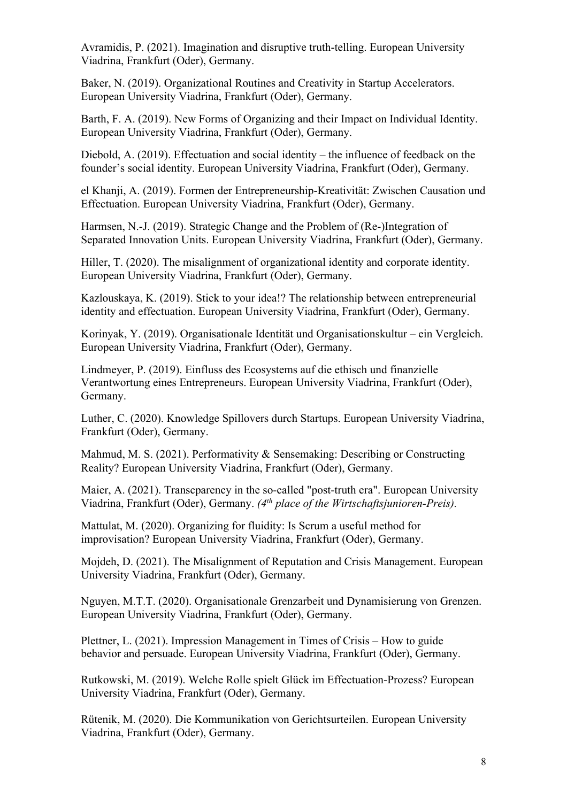Avramidis, P. (2021). Imagination and disruptive truth-telling. European University Viadrina, Frankfurt (Oder), Germany.

Baker, N. (2019). Organizational Routines and Creativity in Startup Accelerators. European University Viadrina, Frankfurt (Oder), Germany.

Barth, F. A. (2019). New Forms of Organizing and their Impact on Individual Identity. European University Viadrina, Frankfurt (Oder), Germany.

Diebold, A. (2019). Effectuation and social identity – the influence of feedback on the founder's social identity. European University Viadrina, Frankfurt (Oder), Germany.

el Khanji, A. (2019). Formen der Entrepreneurship-Kreativität: Zwischen Causation und Effectuation. European University Viadrina, Frankfurt (Oder), Germany.

Harmsen, N.-J. (2019). Strategic Change and the Problem of (Re-)Integration of Separated Innovation Units. European University Viadrina, Frankfurt (Oder), Germany.

Hiller, T. (2020). The misalignment of organizational identity and corporate identity. European University Viadrina, Frankfurt (Oder), Germany.

Kazlouskaya, K. (2019). Stick to your idea!? The relationship between entrepreneurial identity and effectuation. European University Viadrina, Frankfurt (Oder), Germany.

Korinyak, Y. (2019). Organisationale Identität und Organisationskultur – ein Vergleich. European University Viadrina, Frankfurt (Oder), Germany.

Lindmeyer, P. (2019). Einfluss des Ecosystems auf die ethisch und finanzielle Verantwortung eines Entrepreneurs. European University Viadrina, Frankfurt (Oder), Germany.

Luther, C. (2020). Knowledge Spillovers durch Startups. European University Viadrina, Frankfurt (Oder), Germany.

Mahmud, M. S. (2021). Performativity & Sensemaking: Describing or Constructing Reality? European University Viadrina, Frankfurt (Oder), Germany.

Maier, A. (2021). Transcparency in the so-called "post-truth era". European University Viadrina, Frankfurt (Oder), Germany. *(4th place of the Wirtschaftsjunioren-Preis).*

Mattulat, M. (2020). Organizing for fluidity: Is Scrum a useful method for improvisation? European University Viadrina, Frankfurt (Oder), Germany.

Mojdeh, D. (2021). The Misalignment of Reputation and Crisis Management. European University Viadrina, Frankfurt (Oder), Germany.

Nguyen, M.T.T. (2020). Organisationale Grenzarbeit und Dynamisierung von Grenzen. European University Viadrina, Frankfurt (Oder), Germany.

Plettner, L. (2021). Impression Management in Times of Crisis – How to guide behavior and persuade. European University Viadrina, Frankfurt (Oder), Germany.

Rutkowski, M. (2019). Welche Rolle spielt Glück im Effectuation-Prozess? European University Viadrina, Frankfurt (Oder), Germany.

Rütenik, M. (2020). Die Kommunikation von Gerichtsurteilen. European University Viadrina, Frankfurt (Oder), Germany.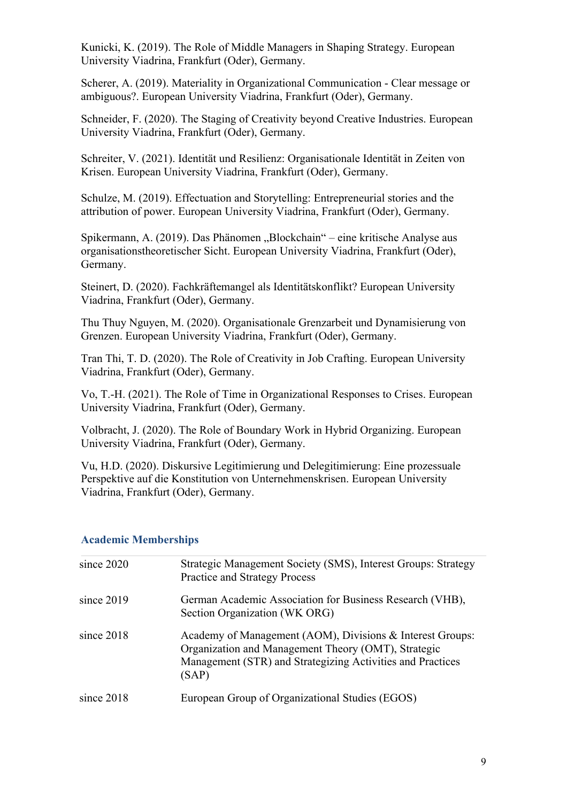Kunicki, K. (2019). The Role of Middle Managers in Shaping Strategy. European University Viadrina, Frankfurt (Oder), Germany.

Scherer, A. (2019). Materiality in Organizational Communication - Clear message or ambiguous?. European University Viadrina, Frankfurt (Oder), Germany.

Schneider, F. (2020). The Staging of Creativity beyond Creative Industries. European University Viadrina, Frankfurt (Oder), Germany.

Schreiter, V. (2021). Identität und Resilienz: Organisationale Identität in Zeiten von Krisen. European University Viadrina, Frankfurt (Oder), Germany.

Schulze, M. (2019). Effectuation and Storytelling: Entrepreneurial stories and the attribution of power. European University Viadrina, Frankfurt (Oder), Germany.

Spikermann, A. (2019). Das Phänomen "Blockchain" – eine kritische Analyse aus organisationstheoretischer Sicht. European University Viadrina, Frankfurt (Oder), Germany.

Steinert, D. (2020). Fachkräftemangel als Identitätskonflikt? European University Viadrina, Frankfurt (Oder), Germany.

Thu Thuy Nguyen, M. (2020). Organisationale Grenzarbeit und Dynamisierung von Grenzen. European University Viadrina, Frankfurt (Oder), Germany.

Tran Thi, T. D. (2020). The Role of Creativity in Job Crafting. European University Viadrina, Frankfurt (Oder), Germany.

Vo, T.-H. (2021). The Role of Time in Organizational Responses to Crises. European University Viadrina, Frankfurt (Oder), Germany.

Volbracht, J. (2020). The Role of Boundary Work in Hybrid Organizing. European University Viadrina, Frankfurt (Oder), Germany.

Vu, H.D. (2020). Diskursive Legitimierung und Delegitimierung: Eine prozessuale Perspektive auf die Konstitution von Unternehmenskrisen. European University Viadrina, Frankfurt (Oder), Germany.

| since 2020   | Strategic Management Society (SMS), Interest Groups: Strategy<br><b>Practice and Strategy Process</b>                                                                                   |
|--------------|-----------------------------------------------------------------------------------------------------------------------------------------------------------------------------------------|
| since $2019$ | German Academic Association for Business Research (VHB),<br>Section Organization (WK ORG)                                                                                               |
| since 2018   | Academy of Management (AOM), Divisions & Interest Groups:<br>Organization and Management Theory (OMT), Strategic<br>Management (STR) and Strategizing Activities and Practices<br>(SAP) |
| since $2018$ | European Group of Organizational Studies (EGOS)                                                                                                                                         |

## **Academic Memberships**